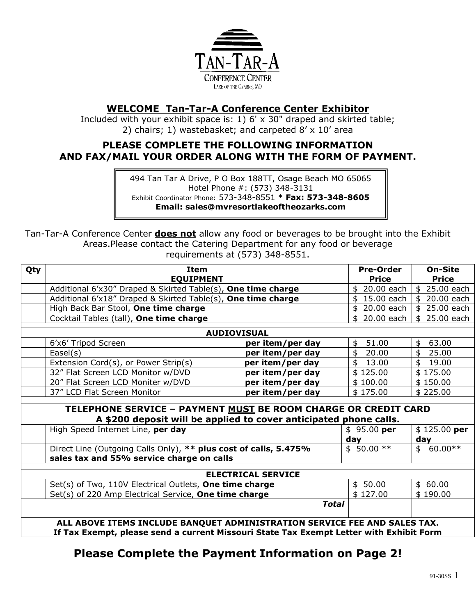

## **WELCOME Tan-Tar-A Conference Center Exhibitor**

Included with your exhibit space is: 1) 6' x 30" draped and skirted table; 2) chairs; 1) wastebasket; and carpeted 8' x 10' area

### **PLEASE COMPLETE THE FOLLOWING INFORMATION AND FAX/MAIL YOUR ORDER ALONG WITH THE FORM OF PAYMENT.**

494 Tan Tar A Drive, P O Box 188TT, Osage Beach MO 65065 Hotel Phone #: (573) 348-3131 Exhibit Coordinator Phone: 573-348-8551 \* **Fax: 573-348-8605 Email: sales@mvresortlakeoftheozarks.com**

Tan-Tar-A Conference Center **does not** allow any food or beverages to be brought into the Exhibit Areas.Please contact the Catering Department for any food or beverage requirements at (573) 348-8551.

| Qty                                                               | <b>Item</b>                                                                             |                  | <b>Pre-Order</b> | <b>On-Site</b>   |  |
|-------------------------------------------------------------------|-----------------------------------------------------------------------------------------|------------------|------------------|------------------|--|
|                                                                   | <b>EQUIPMENT</b>                                                                        |                  | <b>Price</b>     | <b>Price</b>     |  |
|                                                                   | Additional 6'x30" Draped & Skirted Table(s), One time charge                            |                  | \$ 20.00 each    | \$ 25.00 each    |  |
|                                                                   | Additional 6'x18" Draped & Skirted Table(s), One time charge                            |                  | \$15.00 each     | 20.00 each<br>\$ |  |
|                                                                   | High Back Bar Stool, One time charge                                                    |                  | \$ 20.00 each    | 25.00 each<br>\$ |  |
|                                                                   | Cocktail Tables (tall), One time charge                                                 |                  | \$ 20.00 each    | \$<br>25.00 each |  |
| <b>AUDIOVISUAL</b>                                                |                                                                                         |                  |                  |                  |  |
|                                                                   | 6'x6' Tripod Screen                                                                     | per item/per day | 51.00<br>\$      | 63.00<br>\$      |  |
|                                                                   | Ease(s)                                                                                 | per item/per day | 20.00<br>\$      | 25.00<br>\$      |  |
|                                                                   | Extension Cord(s), or Power Strip(s)                                                    | per item/per day | \$<br>13.00      | \$<br>19.00      |  |
|                                                                   | 32" Flat Screen LCD Monitor w/DVD                                                       | per item/per day | \$125.00         | \$175.00         |  |
|                                                                   | 20" Flat Screen LCD Moniter w/DVD                                                       | per item/per day | \$100.00         | \$150.00         |  |
|                                                                   | 37" LCD Flat Screen Monitor                                                             | per item/per day | \$175.00         | \$225.00         |  |
|                                                                   |                                                                                         |                  |                  |                  |  |
| TELEPHONE SERVICE - PAYMENT MUST BE ROOM CHARGE OR CREDIT CARD    |                                                                                         |                  |                  |                  |  |
| A \$200 deposit will be applied to cover anticipated phone calls. |                                                                                         |                  |                  |                  |  |
|                                                                   | High Speed Internet Line, per day                                                       |                  | $$95.00$ per     | $$125.00$ per    |  |
|                                                                   |                                                                                         |                  | day              | day              |  |
|                                                                   | Direct Line (Outgoing Calls Only), ** plus cost of calls, 5.475%                        |                  | $$50.00**$       | $60.00**$<br>\$  |  |
|                                                                   | sales tax and 55% service charge on calls                                               |                  |                  |                  |  |
| <b>ELECTRICAL SERVICE</b>                                         |                                                                                         |                  |                  |                  |  |
|                                                                   | Set(s) of Two, 110V Electrical Outlets, One time charge                                 |                  | \$50.00          | \$60.00          |  |
|                                                                   | Set(s) of 220 Amp Electrical Service, One time charge                                   |                  | \$127.00         | \$190.00         |  |
|                                                                   | <b>Total</b>                                                                            |                  |                  |                  |  |
|                                                                   |                                                                                         |                  |                  |                  |  |
|                                                                   | ALL ABOVE ITEMS INCLUDE BANQUET ADMINISTRATION SERVICE FEE AND SALES TAX.               |                  |                  |                  |  |
|                                                                   | If Tax Exempt, please send a current Missouri State Tax Exempt Letter with Exhibit Form |                  |                  |                  |  |

# **Please Complete the Payment Information on Page 2!**